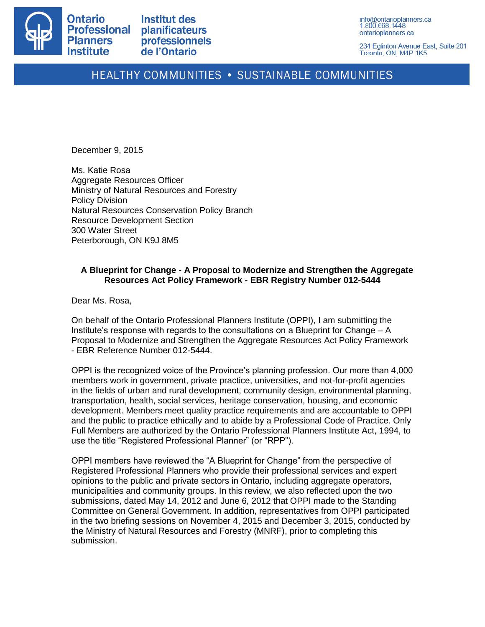

**Institut des planificateurs** professionnels de l'Ontario

info@ontarioplanners.ca 1.800.668.1448 ontarioplanners.ca

234 Eglinton Avenue East, Suite 201 Toronto, ON, M4P 1K5

# HEALTHY COMMUNITIES . SUSTAINABLE COMMUNITIES

December 9, 2015

Ms. Katie Rosa Aggregate Resources Officer Ministry of Natural Resources and Forestry Policy Division Natural Resources Conservation Policy Branch Resource Development Section 300 Water Street Peterborough, ON K9J 8M5

# **A Blueprint for Change - A Proposal to Modernize and Strengthen the Aggregate Resources Act Policy Framework - EBR Registry Number 012-5444**

Dear Ms. Rosa,

On behalf of the Ontario Professional Planners Institute (OPPI), I am submitting the Institute's response with regards to the consultations on a Blueprint for Change – A Proposal to Modernize and Strengthen the Aggregate Resources Act Policy Framework - EBR Reference Number 012-5444.

OPPI is the recognized voice of the Province's planning profession. Our more than 4,000 members work in government, private practice, universities, and not-for-profit agencies in the fields of urban and rural development, community design, environmental planning, transportation, health, social services, heritage conservation, housing, and economic development. Members meet quality practice requirements and are accountable to OPPI and the public to practice ethically and to abide by a Professional Code of Practice. Only Full Members are authorized by the Ontario Professional Planners Institute Act, 1994, to use the title "Registered Professional Planner" (or "RPP").

OPPI members have reviewed the "A Blueprint for Change" from the perspective of Registered Professional Planners who provide their professional services and expert opinions to the public and private sectors in Ontario, including aggregate operators, municipalities and community groups. In this review, we also reflected upon the two submissions, dated May 14, 2012 and June 6, 2012 that OPPI made to the Standing Committee on General Government. In addition, representatives from OPPI participated in the two briefing sessions on November 4, 2015 and December 3, 2015, conducted by the Ministry of Natural Resources and Forestry (MNRF), prior to completing this submission.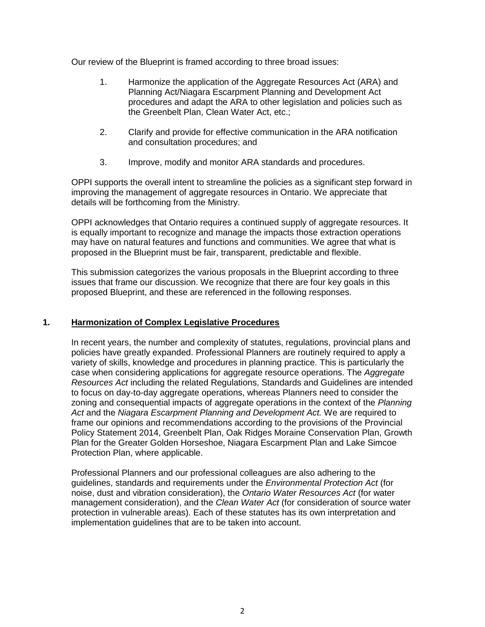Our review of the Blueprint is framed according to three broad issues:

- 1. Harmonize the application of the Aggregate Resources Act (ARA) and Planning Act/Niagara Escarpment Planning and Development Act procedures and adapt the ARA to other legislation and policies such as the Greenbelt Plan, Clean Water Act, etc.;
- 2. Clarify and provide for effective communication in the ARA notification and consultation procedures; and
- 3. Improve, modify and monitor ARA standards and procedures.

OPPI supports the overall intent to streamline the policies as a significant step forward in improving the management of aggregate resources in Ontario. We appreciate that details will be forthcoming from the Ministry.

OPPI acknowledges that Ontario requires a continued supply of aggregate resources. It is equally important to recognize and manage the impacts those extraction operations may have on natural features and functions and communities. We agree that what is proposed in the Blueprint must be fair, transparent, predictable and flexible.

This submission categorizes the various proposals in the Blueprint according to three issues that frame our discussion. We recognize that there are four key goals in this proposed Blueprint, and these are referenced in the following responses.

# **1. Harmonization of Complex Legislative Procedures**

In recent years, the number and complexity of statutes, regulations, provincial plans and policies have greatly expanded. Professional Planners are routinely required to apply a variety of skills, knowledge and procedures in planning practice. This is particularly the case when considering applications for aggregate resource operations. The *Aggregate Resources Act* including the related Regulations, Standards and Guidelines are intended to focus on day-to-day aggregate operations, whereas Planners need to consider the zoning and consequential impacts of aggregate operations in the context of the *Planning Act* and the *Niagara Escarpment Planning and Development Act.* We are required to frame our opinions and recommendations according to the provisions of the Provincial Policy Statement 2014, Greenbelt Plan, Oak Ridges Moraine Conservation Plan, Growth Plan for the Greater Golden Horseshoe, Niagara Escarpment Plan and Lake Simcoe Protection Plan, where applicable.

Professional Planners and our professional colleagues are also adhering to the guidelines, standards and requirements under the *Environmental Protection Act* (for noise, dust and vibration consideration), the *Ontario Water Resources Act* (for water management consideration), and the *Clean Water Act* (for consideration of source water protection in vulnerable areas). Each of these statutes has its own interpretation and implementation guidelines that are to be taken into account.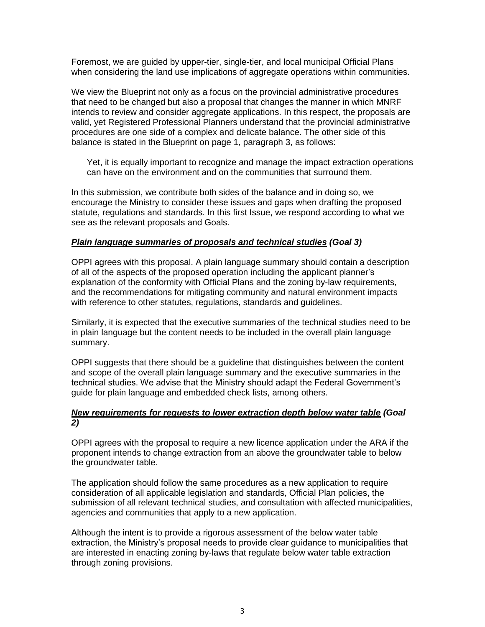Foremost, we are guided by upper-tier, single-tier, and local municipal Official Plans when considering the land use implications of aggregate operations within communities.

We view the Blueprint not only as a focus on the provincial administrative procedures that need to be changed but also a proposal that changes the manner in which MNRF intends to review and consider aggregate applications. In this respect, the proposals are valid, yet Registered Professional Planners understand that the provincial administrative procedures are one side of a complex and delicate balance. The other side of this balance is stated in the Blueprint on page 1, paragraph 3, as follows:

Yet, it is equally important to recognize and manage the impact extraction operations can have on the environment and on the communities that surround them.

In this submission, we contribute both sides of the balance and in doing so, we encourage the Ministry to consider these issues and gaps when drafting the proposed statute, regulations and standards. In this first Issue, we respond according to what we see as the relevant proposals and Goals.

#### *Plain language summaries of proposals and technical studies (Goal 3)*

OPPI agrees with this proposal. A plain language summary should contain a description of all of the aspects of the proposed operation including the applicant planner's explanation of the conformity with Official Plans and the zoning by-law requirements, and the recommendations for mitigating community and natural environment impacts with reference to other statutes, regulations, standards and guidelines.

Similarly, it is expected that the executive summaries of the technical studies need to be in plain language but the content needs to be included in the overall plain language summary.

OPPI suggests that there should be a guideline that distinguishes between the content and scope of the overall plain language summary and the executive summaries in the technical studies. We advise that the Ministry should adapt the Federal Government's guide for plain language and embedded check lists, among others.

# *New requirements for requests to lower extraction depth below water table (Goal 2)*

OPPI agrees with the proposal to require a new licence application under the ARA if the proponent intends to change extraction from an above the groundwater table to below the groundwater table.

The application should follow the same procedures as a new application to require consideration of all applicable legislation and standards, Official Plan policies, the submission of all relevant technical studies, and consultation with affected municipalities, agencies and communities that apply to a new application.

Although the intent is to provide a rigorous assessment of the below water table extraction, the Ministry's proposal needs to provide clear guidance to municipalities that are interested in enacting zoning by-laws that regulate below water table extraction through zoning provisions.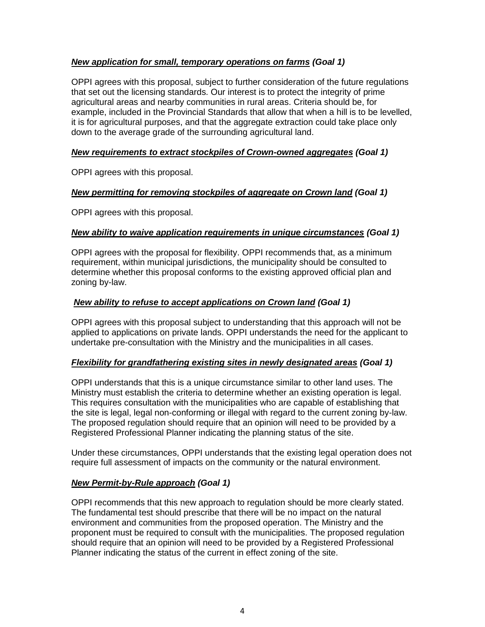# *New application for small, temporary operations on farms (Goal 1)*

OPPI agrees with this proposal, subject to further consideration of the future regulations that set out the licensing standards. Our interest is to protect the integrity of prime agricultural areas and nearby communities in rural areas. Criteria should be, for example, included in the Provincial Standards that allow that when a hill is to be levelled, it is for agricultural purposes, and that the aggregate extraction could take place only down to the average grade of the surrounding agricultural land.

# *New requirements to extract stockpiles of Crown-owned aggregates (Goal 1)*

OPPI agrees with this proposal.

# *New permitting for removing stockpiles of aggregate on Crown land (Goal 1)*

OPPI agrees with this proposal.

# *New ability to waive application requirements in unique circumstances (Goal 1)*

OPPI agrees with the proposal for flexibility. OPPI recommends that, as a minimum requirement, within municipal jurisdictions, the municipality should be consulted to determine whether this proposal conforms to the existing approved official plan and zoning by-law.

# *New ability to refuse to accept applications on Crown land (Goal 1)*

OPPI agrees with this proposal subject to understanding that this approach will not be applied to applications on private lands. OPPI understands the need for the applicant to undertake pre-consultation with the Ministry and the municipalities in all cases.

# *Flexibility for grandfathering existing sites in newly designated areas (Goal 1)*

OPPI understands that this is a unique circumstance similar to other land uses. The Ministry must establish the criteria to determine whether an existing operation is legal. This requires consultation with the municipalities who are capable of establishing that the site is legal, legal non-conforming or illegal with regard to the current zoning by-law. The proposed regulation should require that an opinion will need to be provided by a Registered Professional Planner indicating the planning status of the site.

Under these circumstances, OPPI understands that the existing legal operation does not require full assessment of impacts on the community or the natural environment.

# *New Permit-by-Rule approach (Goal 1)*

OPPI recommends that this new approach to regulation should be more clearly stated. The fundamental test should prescribe that there will be no impact on the natural environment and communities from the proposed operation. The Ministry and the proponent must be required to consult with the municipalities. The proposed regulation should require that an opinion will need to be provided by a Registered Professional Planner indicating the status of the current in effect zoning of the site.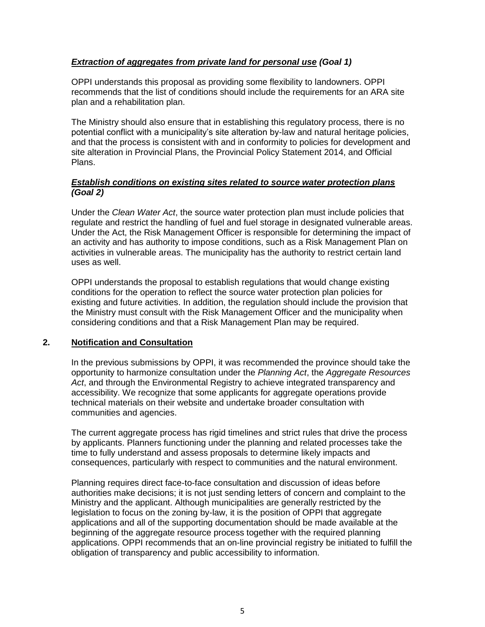# *Extraction of aggregates from private land for personal use (Goal 1)*

OPPI understands this proposal as providing some flexibility to landowners. OPPI recommends that the list of conditions should include the requirements for an ARA site plan and a rehabilitation plan.

The Ministry should also ensure that in establishing this regulatory process, there is no potential conflict with a municipality's site alteration by-law and natural heritage policies, and that the process is consistent with and in conformity to policies for development and site alteration in Provincial Plans, the Provincial Policy Statement 2014, and Official Plans.

# *Establish conditions on existing sites related to source water protection plans (Goal 2)*

Under the *Clean Water Act*, the source water protection plan must include policies that regulate and restrict the handling of fuel and fuel storage in designated vulnerable areas. Under the Act, the Risk Management Officer is responsible for determining the impact of an activity and has authority to impose conditions, such as a Risk Management Plan on activities in vulnerable areas. The municipality has the authority to restrict certain land uses as well.

OPPI understands the proposal to establish regulations that would change existing conditions for the operation to reflect the source water protection plan policies for existing and future activities. In addition, the regulation should include the provision that the Ministry must consult with the Risk Management Officer and the municipality when considering conditions and that a Risk Management Plan may be required.

# **2. Notification and Consultation**

In the previous submissions by OPPI, it was recommended the province should take the opportunity to harmonize consultation under the *Planning Act*, the *Aggregate Resources Act*, and through the Environmental Registry to achieve integrated transparency and accessibility. We recognize that some applicants for aggregate operations provide technical materials on their website and undertake broader consultation with communities and agencies.

The current aggregate process has rigid timelines and strict rules that drive the process by applicants. Planners functioning under the planning and related processes take the time to fully understand and assess proposals to determine likely impacts and consequences, particularly with respect to communities and the natural environment.

Planning requires direct face-to-face consultation and discussion of ideas before authorities make decisions; it is not just sending letters of concern and complaint to the Ministry and the applicant. Although municipalities are generally restricted by the legislation to focus on the zoning by-law, it is the position of OPPI that aggregate applications and all of the supporting documentation should be made available at the beginning of the aggregate resource process together with the required planning applications. OPPI recommends that an on-line provincial registry be initiated to fulfill the obligation of transparency and public accessibility to information.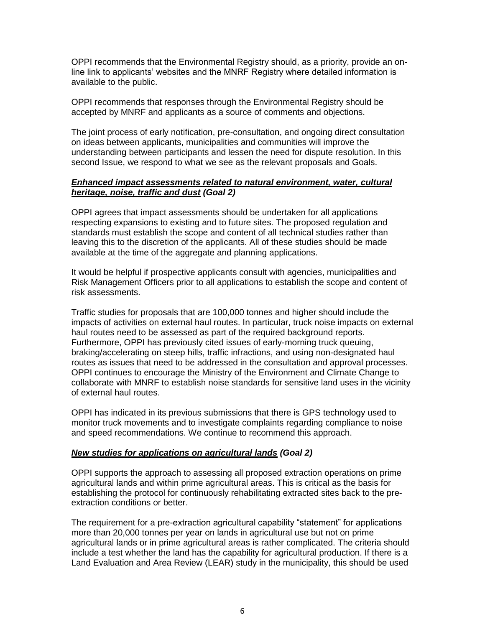OPPI recommends that the Environmental Registry should, as a priority, provide an online link to applicants' websites and the MNRF Registry where detailed information is available to the public.

OPPI recommends that responses through the Environmental Registry should be accepted by MNRF and applicants as a source of comments and objections.

The joint process of early notification, pre-consultation, and ongoing direct consultation on ideas between applicants, municipalities and communities will improve the understanding between participants and lessen the need for dispute resolution. In this second Issue, we respond to what we see as the relevant proposals and Goals.

# *Enhanced impact assessments related to natural environment, water, cultural heritage, noise, traffic and dust (Goal 2)*

OPPI agrees that impact assessments should be undertaken for all applications respecting expansions to existing and to future sites. The proposed regulation and standards must establish the scope and content of all technical studies rather than leaving this to the discretion of the applicants. All of these studies should be made available at the time of the aggregate and planning applications.

It would be helpful if prospective applicants consult with agencies, municipalities and Risk Management Officers prior to all applications to establish the scope and content of risk assessments.

Traffic studies for proposals that are 100,000 tonnes and higher should include the impacts of activities on external haul routes. In particular, truck noise impacts on external haul routes need to be assessed as part of the required background reports. Furthermore, OPPI has previously cited issues of early-morning truck queuing, braking/accelerating on steep hills, traffic infractions, and using non-designated haul routes as issues that need to be addressed in the consultation and approval processes. OPPI continues to encourage the Ministry of the Environment and Climate Change to collaborate with MNRF to establish noise standards for sensitive land uses in the vicinity of external haul routes.

OPPI has indicated in its previous submissions that there is GPS technology used to monitor truck movements and to investigate complaints regarding compliance to noise and speed recommendations. We continue to recommend this approach.

#### *New studies for applications on agricultural lands (Goal 2)*

OPPI supports the approach to assessing all proposed extraction operations on prime agricultural lands and within prime agricultural areas. This is critical as the basis for establishing the protocol for continuously rehabilitating extracted sites back to the preextraction conditions or better.

The requirement for a pre-extraction agricultural capability "statement" for applications more than 20,000 tonnes per year on lands in agricultural use but not on prime agricultural lands or in prime agricultural areas is rather complicated. The criteria should include a test whether the land has the capability for agricultural production. If there is a Land Evaluation and Area Review (LEAR) study in the municipality, this should be used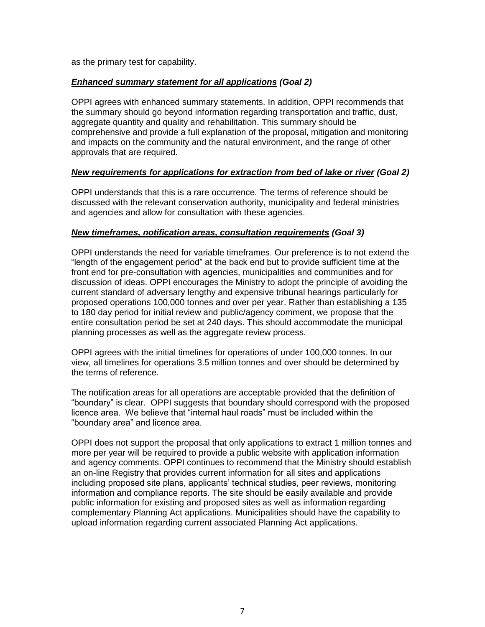as the primary test for capability.

# *Enhanced summary statement for all applications (Goal 2)*

OPPI agrees with enhanced summary statements. In addition, OPPI recommends that the summary should go beyond information regarding transportation and traffic, dust, aggregate quantity and quality and rehabilitation. This summary should be comprehensive and provide a full explanation of the proposal, mitigation and monitoring and impacts on the community and the natural environment, and the range of other approvals that are required.

# *New requirements for applications for extraction from bed of lake or river (Goal 2)*

OPPI understands that this is a rare occurrence. The terms of reference should be discussed with the relevant conservation authority, municipality and federal ministries and agencies and allow for consultation with these agencies.

# *New timeframes, notification areas, consultation requirements (Goal 3)*

OPPI understands the need for variable timeframes. Our preference is to not extend the "length of the engagement period" at the back end but to provide sufficient time at the front end for pre-consultation with agencies, municipalities and communities and for discussion of ideas. OPPI encourages the Ministry to adopt the principle of avoiding the current standard of adversary lengthy and expensive tribunal hearings particularly for proposed operations 100,000 tonnes and over per year. Rather than establishing a 135 to 180 day period for initial review and public/agency comment, we propose that the entire consultation period be set at 240 days. This should accommodate the municipal planning processes as well as the aggregate review process.

OPPI agrees with the initial timelines for operations of under 100,000 tonnes. In our view, all timelines for operations 3.5 million tonnes and over should be determined by the terms of reference.

The notification areas for all operations are acceptable provided that the definition of "boundary" is clear. OPPI suggests that boundary should correspond with the proposed licence area. We believe that "internal haul roads" must be included within the "boundary area" and licence area.

OPPI does not support the proposal that only applications to extract 1 million tonnes and more per year will be required to provide a public website with application information and agency comments. OPPI continues to recommend that the Ministry should establish an on-line Registry that provides current information for all sites and applications including proposed site plans, applicants' technical studies, peer reviews, monitoring information and compliance reports. The site should be easily available and provide public information for existing and proposed sites as well as information regarding complementary Planning Act applications. Municipalities should have the capability to upload information regarding current associated Planning Act applications.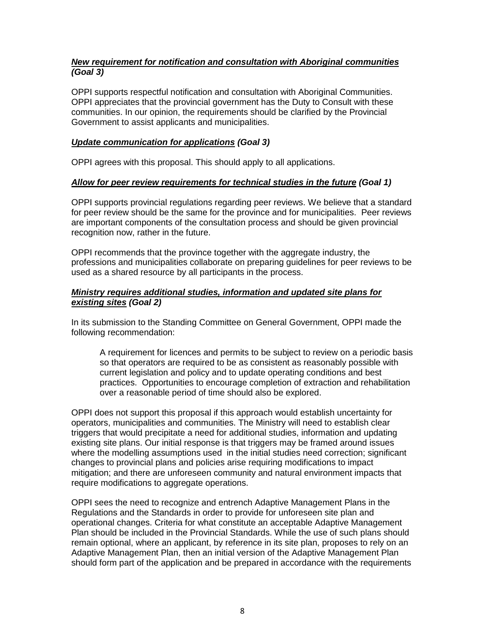# *New requirement for notification and consultation with Aboriginal communities (Goal 3)*

OPPI supports respectful notification and consultation with Aboriginal Communities. OPPI appreciates that the provincial government has the Duty to Consult with these communities. In our opinion, the requirements should be clarified by the Provincial Government to assist applicants and municipalities.

# *Update communication for applications (Goal 3)*

OPPI agrees with this proposal. This should apply to all applications.

# *Allow for peer review requirements for technical studies in the future (Goal 1)*

OPPI supports provincial regulations regarding peer reviews. We believe that a standard for peer review should be the same for the province and for municipalities. Peer reviews are important components of the consultation process and should be given provincial recognition now, rather in the future.

OPPI recommends that the province together with the aggregate industry, the professions and municipalities collaborate on preparing guidelines for peer reviews to be used as a shared resource by all participants in the process.

# *Ministry requires additional studies, information and updated site plans for existing sites (Goal 2)*

In its submission to the Standing Committee on General Government, OPPI made the following recommendation:

A requirement for licences and permits to be subject to review on a periodic basis so that operators are required to be as consistent as reasonably possible with current legislation and policy and to update operating conditions and best practices. Opportunities to encourage completion of extraction and rehabilitation over a reasonable period of time should also be explored.

OPPI does not support this proposal if this approach would establish uncertainty for operators, municipalities and communities. The Ministry will need to establish clear triggers that would precipitate a need for additional studies, information and updating existing site plans. Our initial response is that triggers may be framed around issues where the modelling assumptions used in the initial studies need correction; significant changes to provincial plans and policies arise requiring modifications to impact mitigation; and there are unforeseen community and natural environment impacts that require modifications to aggregate operations.

OPPI sees the need to recognize and entrench Adaptive Management Plans in the Regulations and the Standards in order to provide for unforeseen site plan and operational changes. Criteria for what constitute an acceptable Adaptive Management Plan should be included in the Provincial Standards. While the use of such plans should remain optional, where an applicant, by reference in its site plan, proposes to rely on an Adaptive Management Plan, then an initial version of the Adaptive Management Plan should form part of the application and be prepared in accordance with the requirements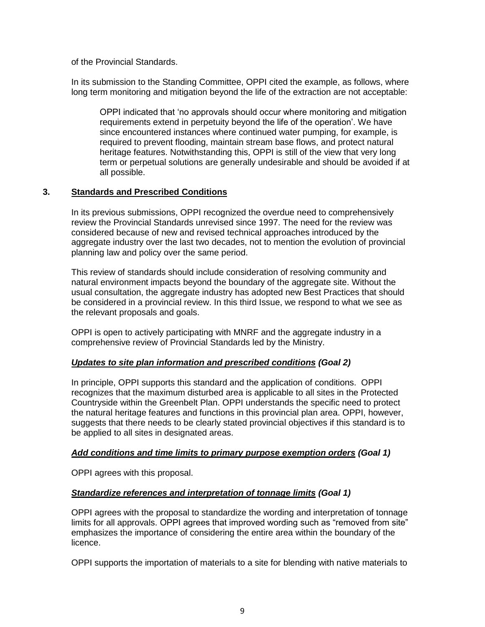of the Provincial Standards.

In its submission to the Standing Committee, OPPI cited the example, as follows, where long term monitoring and mitigation beyond the life of the extraction are not acceptable:

OPPI indicated that 'no approvals should occur where monitoring and mitigation requirements extend in perpetuity beyond the life of the operation'. We have since encountered instances where continued water pumping, for example, is required to prevent flooding, maintain stream base flows, and protect natural heritage features. Notwithstanding this, OPPI is still of the view that very long term or perpetual solutions are generally undesirable and should be avoided if at all possible.

# **3. Standards and Prescribed Conditions**

In its previous submissions, OPPI recognized the overdue need to comprehensively review the Provincial Standards unrevised since 1997. The need for the review was considered because of new and revised technical approaches introduced by the aggregate industry over the last two decades, not to mention the evolution of provincial planning law and policy over the same period.

This review of standards should include consideration of resolving community and natural environment impacts beyond the boundary of the aggregate site. Without the usual consultation, the aggregate industry has adopted new Best Practices that should be considered in a provincial review. In this third Issue, we respond to what we see as the relevant proposals and goals.

OPPI is open to actively participating with MNRF and the aggregate industry in a comprehensive review of Provincial Standards led by the Ministry.

# *Updates to site plan information and prescribed conditions (Goal 2)*

In principle, OPPI supports this standard and the application of conditions. OPPI recognizes that the maximum disturbed area is applicable to all sites in the Protected Countryside within the Greenbelt Plan. OPPI understands the specific need to protect the natural heritage features and functions in this provincial plan area. OPPI, however, suggests that there needs to be clearly stated provincial objectives if this standard is to be applied to all sites in designated areas.

#### *Add conditions and time limits to primary purpose exemption orders (Goal 1)*

OPPI agrees with this proposal.

# *Standardize references and interpretation of tonnage limits (Goal 1)*

OPPI agrees with the proposal to standardize the wording and interpretation of tonnage limits for all approvals. OPPI agrees that improved wording such as "removed from site" emphasizes the importance of considering the entire area within the boundary of the licence.

OPPI supports the importation of materials to a site for blending with native materials to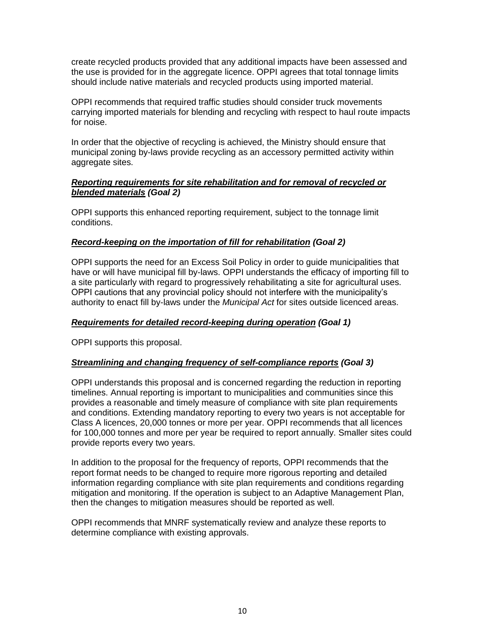create recycled products provided that any additional impacts have been assessed and the use is provided for in the aggregate licence. OPPI agrees that total tonnage limits should include native materials and recycled products using imported material.

OPPI recommends that required traffic studies should consider truck movements carrying imported materials for blending and recycling with respect to haul route impacts for noise.

In order that the objective of recycling is achieved, the Ministry should ensure that municipal zoning by-laws provide recycling as an accessory permitted activity within aggregate sites.

# *Reporting requirements for site rehabilitation and for removal of recycled or blended materials (Goal 2)*

OPPI supports this enhanced reporting requirement, subject to the tonnage limit conditions.

# *Record-keeping on the importation of fill for rehabilitation (Goal 2)*

OPPI supports the need for an Excess Soil Policy in order to guide municipalities that have or will have municipal fill by-laws. OPPI understands the efficacy of importing fill to a site particularly with regard to progressively rehabilitating a site for agricultural uses. OPPI cautions that any provincial policy should not interfere with the municipality's authority to enact fill by-laws under the *Municipal Act* for sites outside licenced areas.

# *Requirements for detailed record-keeping during operation (Goal 1)*

OPPI supports this proposal.

#### *Streamlining and changing frequency of self-compliance reports (Goal 3)*

OPPI understands this proposal and is concerned regarding the reduction in reporting timelines. Annual reporting is important to municipalities and communities since this provides a reasonable and timely measure of compliance with site plan requirements and conditions. Extending mandatory reporting to every two years is not acceptable for Class A licences, 20,000 tonnes or more per year. OPPI recommends that all licences for 100,000 tonnes and more per year be required to report annually. Smaller sites could provide reports every two years.

In addition to the proposal for the frequency of reports, OPPI recommends that the report format needs to be changed to require more rigorous reporting and detailed information regarding compliance with site plan requirements and conditions regarding mitigation and monitoring. If the operation is subject to an Adaptive Management Plan, then the changes to mitigation measures should be reported as well.

OPPI recommends that MNRF systematically review and analyze these reports to determine compliance with existing approvals.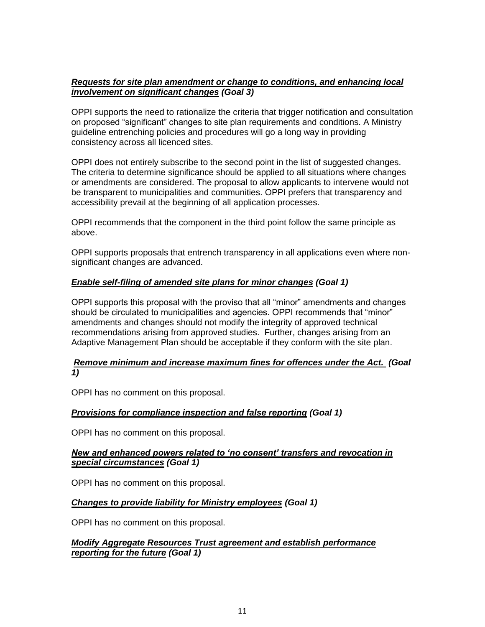# *Requests for site plan amendment or change to conditions, and enhancing local involvement on significant changes (Goal 3)*

OPPI supports the need to rationalize the criteria that trigger notification and consultation on proposed "significant" changes to site plan requirements and conditions. A Ministry guideline entrenching policies and procedures will go a long way in providing consistency across all licenced sites.

OPPI does not entirely subscribe to the second point in the list of suggested changes. The criteria to determine significance should be applied to all situations where changes or amendments are considered. The proposal to allow applicants to intervene would not be transparent to municipalities and communities. OPPI prefers that transparency and accessibility prevail at the beginning of all application processes.

OPPI recommends that the component in the third point follow the same principle as above.

OPPI supports proposals that entrench transparency in all applications even where nonsignificant changes are advanced.

# *Enable self-filing of amended site plans for minor changes (Goal 1)*

OPPI supports this proposal with the proviso that all "minor" amendments and changes should be circulated to municipalities and agencies. OPPI recommends that "minor" amendments and changes should not modify the integrity of approved technical recommendations arising from approved studies. Further, changes arising from an Adaptive Management Plan should be acceptable if they conform with the site plan.

# *Remove minimum and increase maximum fines for offences under the Act. (Goal 1)*

OPPI has no comment on this proposal.

# *Provisions for compliance inspection and false reporting (Goal 1)*

OPPI has no comment on this proposal.

# *New and enhanced powers related to 'no consent' transfers and revocation in special circumstances (Goal 1)*

OPPI has no comment on this proposal.

# *Changes to provide liability for Ministry employees (Goal 1)*

OPPI has no comment on this proposal.

# *Modify Aggregate Resources Trust agreement and establish performance reporting for the future (Goal 1)*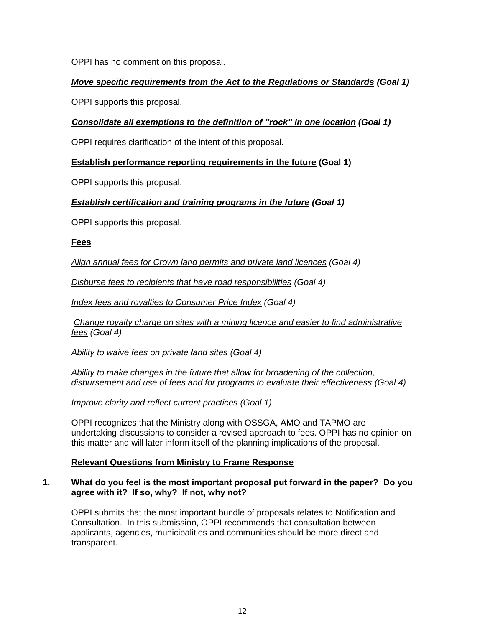OPPI has no comment on this proposal.

# *Move specific requirements from the Act to the Regulations or Standards (Goal 1)*

OPPI supports this proposal.

# *Consolidate all exemptions to the definition of "rock" in one location (Goal 1)*

OPPI requires clarification of the intent of this proposal.

# **Establish performance reporting requirements in the future (Goal 1)**

OPPI supports this proposal.

# *Establish certification and training programs in the future (Goal 1)*

OPPI supports this proposal.

#### **Fees**

*Align annual fees for Crown land permits and private land licences (Goal 4)*

*Disburse fees to recipients that have road responsibilities (Goal 4)*

*Index fees and royalties to Consumer Price Index (Goal 4)*

*Change royalty charge on sites with a mining licence and easier to find administrative fees (Goal 4)*

*Ability to waive fees on private land sites (Goal 4)*

*Ability to make changes in the future that allow for broadening of the collection, disbursement and use of fees and for programs to evaluate their effectiveness (Goal 4)*

*Improve clarity and reflect current practices (Goal 1)*

OPPI recognizes that the Ministry along with OSSGA, AMO and TAPMO are undertaking discussions to consider a revised approach to fees. OPPI has no opinion on this matter and will later inform itself of the planning implications of the proposal.

# **Relevant Questions from Ministry to Frame Response**

#### **1. What do you feel is the most important proposal put forward in the paper? Do you agree with it? If so, why? If not, why not?**

OPPI submits that the most important bundle of proposals relates to Notification and Consultation. In this submission, OPPI recommends that consultation between applicants, agencies, municipalities and communities should be more direct and transparent.